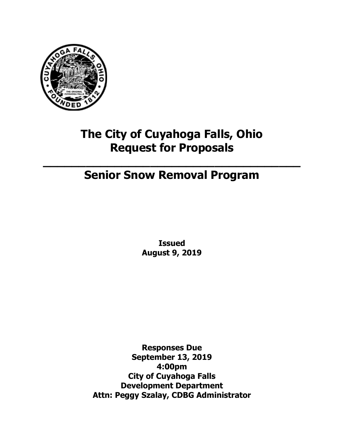

# **The City of Cuyahoga Falls, Ohio Request for Proposals**

# **Senior Snow Removal Program**

**\_\_\_\_\_\_\_\_\_\_\_\_\_\_\_\_\_\_\_\_\_\_\_\_\_\_\_\_\_\_\_\_\_\_\_\_**

**Issued August 9, 2019**

**Responses Due September 13, 2019 4:00pm City of Cuyahoga Falls Development Department Attn: Peggy Szalay, CDBG Administrator**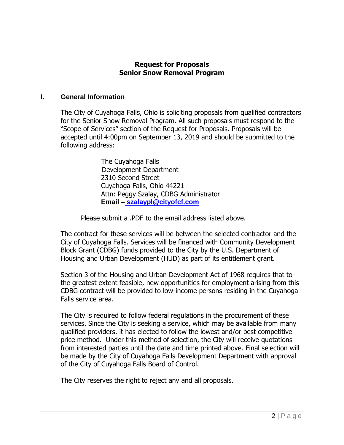#### **Request for Proposals Senior Snow Removal Program**

#### **I. General Information**

The City of Cuyahoga Falls, Ohio is soliciting proposals from qualified contractors for the Senior Snow Removal Program. All such proposals must respond to the "Scope of Services" section of the Request for Proposals. Proposals will be accepted until 4:00pm on September 13, 2019 and should be submitted to the following address:

> The Cuyahoga Falls Development Department 2310 Second Street Cuyahoga Falls, Ohio 44221 Attn: Peggy Szalay, CDBG Administrator **Email – szalaypl@cityofcf.com**

Please submit a .PDF to the email address listed above.

The contract for these services will be between the selected contractor and the City of Cuyahoga Falls. Services will be financed with Community Development Block Grant (CDBG) funds provided to the City by the U.S. Department of Housing and Urban Development (HUD) as part of its entitlement grant.

Section 3 of the Housing and Urban Development Act of 1968 requires that to the greatest extent feasible, new opportunities for employment arising from this CDBG contract will be provided to low-income persons residing in the Cuyahoga Falls service area.

The City is required to follow federal regulations in the procurement of these services. Since the City is seeking a service, which may be available from many qualified providers, it has elected to follow the lowest and/or best competitive price method. Under this method of selection, the City will receive quotations from interested parties until the date and time printed above. Final selection will be made by the City of Cuyahoga Falls Development Department with approval of the City of Cuyahoga Falls Board of Control.

The City reserves the right to reject any and all proposals.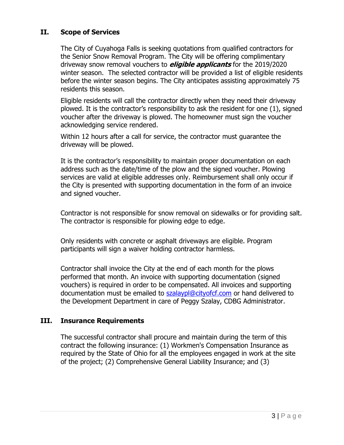# **II. Scope of Services**

The City of Cuyahoga Falls is seeking quotations from qualified contractors for the Senior Snow Removal Program. The City will be offering complimentary driveway snow removal vouchers to **eligible applicants** for the 2019/2020 winter season. The selected contractor will be provided a list of eligible residents before the winter season begins. The City anticipates assisting approximately 75 residents this season.

Eligible residents will call the contractor directly when they need their driveway plowed. It is the contractor's responsibility to ask the resident for one (1), signed voucher after the driveway is plowed. The homeowner must sign the voucher acknowledging service rendered.

Within 12 hours after a call for service, the contractor must guarantee the driveway will be plowed.

It is the contractor's responsibility to maintain proper documentation on each address such as the date/time of the plow and the signed voucher. Plowing services are valid at eligible addresses only. Reimbursement shall only occur if the City is presented with supporting documentation in the form of an invoice and signed voucher.

Contractor is not responsible for snow removal on sidewalks or for providing salt. The contractor is responsible for plowing edge to edge.

Only residents with concrete or asphalt driveways are eligible. Program participants will sign a waiver holding contractor harmless.

Contractor shall invoice the City at the end of each month for the plows performed that month. An invoice with supporting documentation (signed vouchers) is required in order to be compensated. All invoices and supporting documentation must be emailed to **szalaypl@cityofcf.com** or hand delivered to the Development Department in care of Peggy Szalay, CDBG Administrator.

## **III. Insurance Requirements**

The successful contractor shall procure and maintain during the term of this contract the following insurance: (1) Workmen's Compensation Insurance as required by the State of Ohio for all the employees engaged in work at the site of the project; (2) Comprehensive General Liability Insurance; and (3)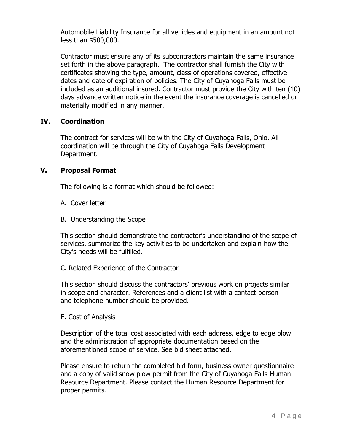Automobile Liability Insurance for all vehicles and equipment in an amount not less than \$500,000.

Contractor must ensure any of its subcontractors maintain the same insurance set forth in the above paragraph. The contractor shall furnish the City with certificates showing the type, amount, class of operations covered, effective dates and date of expiration of policies. The City of Cuyahoga Falls must be included as an additional insured. Contractor must provide the City with ten (10) days advance written notice in the event the insurance coverage is cancelled or materially modified in any manner.

## **IV. Coordination**

The contract for services will be with the City of Cuyahoga Falls, Ohio. All coordination will be through the City of Cuyahoga Falls Development Department.

# **V. Proposal Format**

The following is a format which should be followed:

- A. Cover letter
- B. Understanding the Scope

This section should demonstrate the contractor's understanding of the scope of services, summarize the key activities to be undertaken and explain how the City's needs will be fulfilled.

# C. Related Experience of the Contractor

This section should discuss the contractors' previous work on projects similar in scope and character. References and a client list with a contact person and telephone number should be provided.

E. Cost of Analysis

Description of the total cost associated with each address, edge to edge plow and the administration of appropriate documentation based on the aforementioned scope of service. See bid sheet attached.

Please ensure to return the completed bid form, business owner questionnaire and a copy of valid snow plow permit from the City of Cuyahoga Falls Human Resource Department. Please contact the Human Resource Department for proper permits.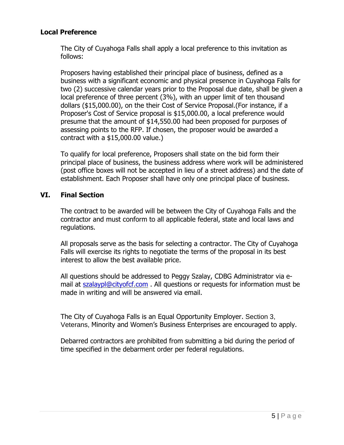### **Local Preference**

The City of Cuyahoga Falls shall apply a local preference to this invitation as follows:

Proposers having established their principal place of business, defined as a business with a significant economic and physical presence in Cuyahoga Falls for two (2) successive calendar years prior to the Proposal due date, shall be given a local preference of three percent (3%), with an upper limit of ten thousand dollars (\$15,000.00), on the their Cost of Service Proposal.(For instance, if a Proposer's Cost of Service proposal is \$15,000.00, a local preference would presume that the amount of \$14,550.00 had been proposed for purposes of assessing points to the RFP. If chosen, the proposer would be awarded a contract with a \$15,000.00 value.)

To qualify for local preference, Proposers shall state on the bid form their principal place of business, the business address where work will be administered (post office boxes will not be accepted in lieu of a street address) and the date of establishment. Each Proposer shall have only one principal place of business.

#### **VI. Final Section**

The contract to be awarded will be between the City of Cuyahoga Falls and the contractor and must conform to all applicable federal, state and local laws and regulations.

All proposals serve as the basis for selecting a contractor. The City of Cuyahoga Falls will exercise its rights to negotiate the terms of the proposal in its best interest to allow the best available price.

All questions should be addressed to Peggy Szalay, CDBG Administrator via email at [szalaypl@cityofcf.com](mailto:szalaypl@cityofcf.com) . All questions or requests for information must be made in writing and will be answered via email.

The City of Cuyahoga Falls is an Equal Opportunity Employer. Section 3, Veterans, Minority and Women's Business Enterprises are encouraged to apply.

Debarred contractors are prohibited from submitting a bid during the period of time specified in the debarment order per federal regulations.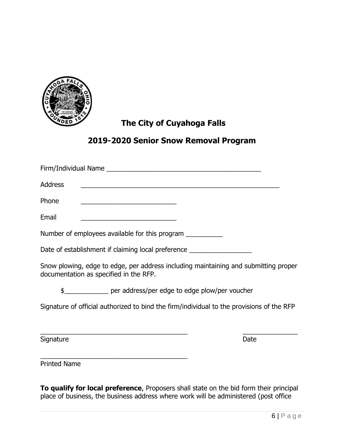

# **The City of Cuyahoga Falls**

# **2019-2020 Senior Snow Removal Program**

| <b>Address</b>                                                                   | <u> 1990 - Johann John Stone, market fan de Fryske kunstne fan de fan de fan de fan de fan de fan de fan de fan d</u>         |  |
|----------------------------------------------------------------------------------|-------------------------------------------------------------------------------------------------------------------------------|--|
| Phone                                                                            | <u> 1989 - Johann Stein, mars an deutscher Stein und der Stein und der Stein und der Stein und der Stein und der</u>          |  |
| Email                                                                            | <u> 1989 - Johann Barbara, martxa alemaniar arg</u>                                                                           |  |
| Number of employees available for this program                                   |                                                                                                                               |  |
| Date of establishment if claiming local preference _____________________________ |                                                                                                                               |  |
|                                                                                  | Snow plowing, edge to edge, per address including maintaining and submitting proper<br>documentation as specified in the RFP. |  |
|                                                                                  | \$________________ per address/per edge to edge plow/per voucher                                                              |  |
|                                                                                  | Signature of official authorized to bind the firm/individual to the provisions of the RFP                                     |  |
|                                                                                  |                                                                                                                               |  |
| Signature                                                                        | Date                                                                                                                          |  |

Printed Name

\_\_\_\_\_\_\_\_\_\_\_\_\_\_\_\_\_\_\_\_\_\_\_\_\_\_\_\_\_\_\_\_\_\_\_\_\_\_\_\_

**To qualify for local preference**, Proposers shall state on the bid form their principal place of business, the business address where work will be administered (post office